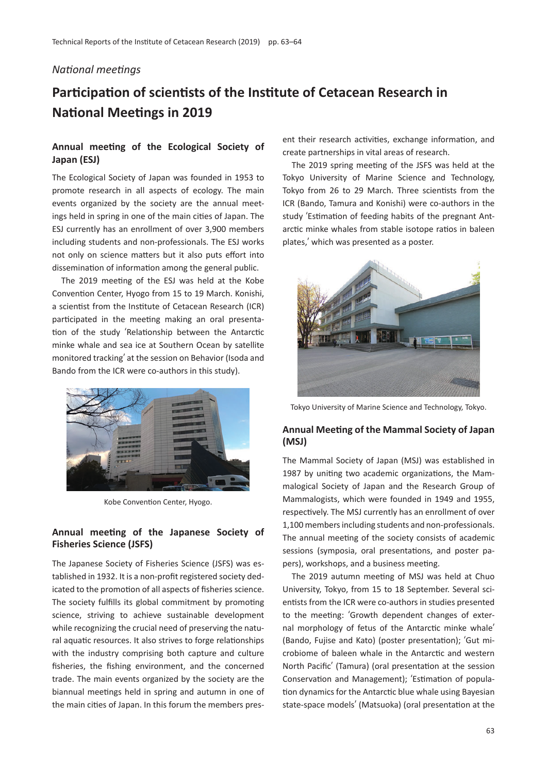#### *National meetings*

# **Participation of scientists of the Institute of Cetacean Research in National Meetings in 2019**

## **Annual meeting of the Ecological Society of Japan (ESJ)**

The Ecological Society of Japan was founded in 1953 to promote research in all aspects of ecology. The main events organized by the society are the annual meetings held in spring in one of the main cities of Japan. The ESJ currently has an enrollment of over 3,900 members including students and non-professionals. The ESJ works not only on science matters but it also puts effort into dissemination of information among the general public.

The 2019 meeting of the ESJ was held at the Kobe Convention Center, Hyogo from 15 to 19 March. Konishi, a scientist from the Institute of Cetacean Research (ICR) participated in the meeting making an oral presentation of the study ʻRelationship between the Antarctic minke whale and sea ice at Southern Ocean by satellite monitored tracking' at the session on Behavior (Isoda and Bando from the ICR were co-authors in this study).



Kobe Convention Center, Hyogo.

### **Annual meeting of the Japanese Society of Fisheries Science (JSFS)**

The Japanese Society of Fisheries Science (JSFS) was established in 1932. It is a non-profit registered society dedicated to the promotion of all aspects of fisheries science. The society fulfills its global commitment by promoting science, striving to achieve sustainable development while recognizing the crucial need of preserving the natural aquatic resources. It also strives to forge relationships with the industry comprising both capture and culture fisheries, the fishing environment, and the concerned trade. The main events organized by the society are the biannual meetings held in spring and autumn in one of the main cities of Japan. In this forum the members pres-

ent their research activities, exchange information, and create partnerships in vital areas of research.

The 2019 spring meeting of the JSFS was held at the Tokyo University of Marine Science and Technology, Tokyo from 26 to 29 March. Three scientists from the ICR (Bando, Tamura and Konishi) were co-authors in the study ʻEstimation of feeding habits of the pregnant Antarctic minke whales from stable isotope ratios in baleen plates,' which was presented as a poster.



Tokyo University of Marine Science and Technology, Tokyo.

#### **Annual Meeting of the Mammal Society of Japan (MSJ)**

The Mammal Society of Japan (MSJ) was established in 1987 by uniting two academic organizations, the Mammalogical Society of Japan and the Research Group of Mammalogists, which were founded in 1949 and 1955, respectively. The MSJ currently has an enrollment of over 1,100 members including students and non-professionals. The annual meeting of the society consists of academic sessions (symposia, oral presentations, and poster papers), workshops, and a business meeting.

The 2019 autumn meeting of MSJ was held at Chuo University, Tokyo, from 15 to 18 September. Several scientists from the ICR were co-authors in studies presented to the meeting: ʻGrowth dependent changes of external morphology of fetus of the Antarctic minke whale' (Bando, Fujise and Kato) (poster presentation); ʻGut microbiome of baleen whale in the Antarctic and western North Pacific' (Tamura) (oral presentation at the session Conservation and Management); ʻEstimation of population dynamics for the Antarctic blue whale using Bayesian state-space models' (Matsuoka) (oral presentation at the